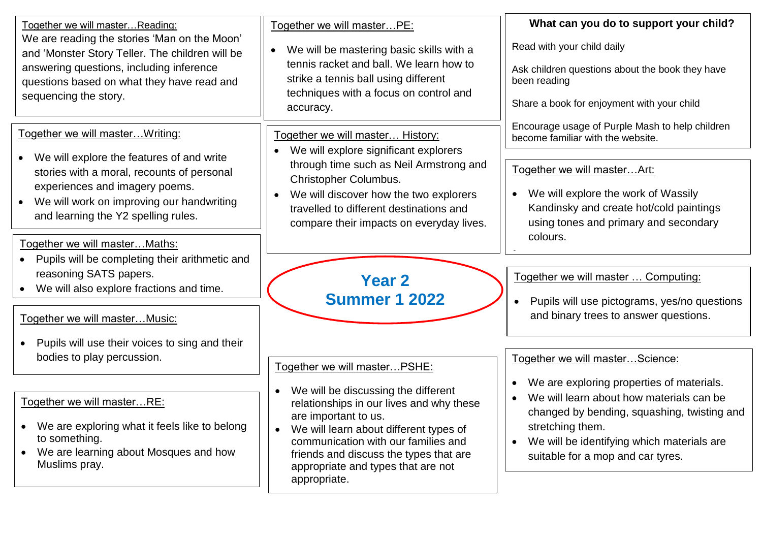| Together we will master Reading:<br>We are reading the stories 'Man on the Moon'<br>and 'Monster Story Teller. The children will be<br>answering questions, including inference<br>questions based on what they have read and<br>sequencing the story. | Together we will masterPE:<br>We will be mastering basic skills with a<br>$\bullet$<br>tennis racket and ball. We learn how to<br>strike a tennis ball using different<br>techniques with a focus on control and<br>accuracy.                                                                         | What can you do to support your child?<br>Read with your child daily<br>Ask children questions about the book they have<br>been reading<br>Share a book for enjoyment with your child                                                                                 |
|--------------------------------------------------------------------------------------------------------------------------------------------------------------------------------------------------------------------------------------------------------|-------------------------------------------------------------------------------------------------------------------------------------------------------------------------------------------------------------------------------------------------------------------------------------------------------|-----------------------------------------------------------------------------------------------------------------------------------------------------------------------------------------------------------------------------------------------------------------------|
| Together we will masterWriting:                                                                                                                                                                                                                        | Together we will master History:<br>We will explore significant explorers                                                                                                                                                                                                                             | Encourage usage of Purple Mash to help children<br>become familiar with the website.                                                                                                                                                                                  |
| We will explore the features of and write<br>$\bullet$<br>stories with a moral, recounts of personal<br>experiences and imagery poems.<br>We will work on improving our handwriting<br>$\bullet$<br>and learning the Y2 spelling rules.                | through time such as Neil Armstrong and<br>Christopher Columbus.<br>We will discover how the two explorers<br>$\bullet$<br>travelled to different destinations and<br>compare their impacts on everyday lives.                                                                                        | Together we will masterArt:<br>We will explore the work of Wassily<br>Kandinsky and create hot/cold paintings<br>using tones and primary and secondary<br>colours.                                                                                                    |
| Together we will master Maths:<br>Pupils will be completing their arithmetic and<br>$\bullet$                                                                                                                                                          |                                                                                                                                                                                                                                                                                                       |                                                                                                                                                                                                                                                                       |
| reasoning SATS papers.<br>We will also explore fractions and time.                                                                                                                                                                                     | <b>Year 2</b><br><b>Summer 1 2022</b>                                                                                                                                                                                                                                                                 | Together we will master  Computing:<br>Pupils will use pictograms, yes/no questions                                                                                                                                                                                   |
| Together we will master Music:                                                                                                                                                                                                                         |                                                                                                                                                                                                                                                                                                       | and binary trees to answer questions.                                                                                                                                                                                                                                 |
| Pupils will use their voices to sing and their<br>bodies to play percussion.                                                                                                                                                                           | Together we will master PSHE:                                                                                                                                                                                                                                                                         | Together we will masterScience:                                                                                                                                                                                                                                       |
| Together we will masterRE:<br>We are exploring what it feels like to belong<br>$\bullet$<br>to something.<br>We are learning about Mosques and how<br>$\bullet$<br>Muslims pray.                                                                       | We will be discussing the different<br>relationships in our lives and why these<br>are important to us.<br>We will learn about different types of<br>$\bullet$<br>communication with our families and<br>friends and discuss the types that are<br>appropriate and types that are not<br>appropriate. | We are exploring properties of materials.<br>$\bullet$<br>We will learn about how materials can be<br>changed by bending, squashing, twisting and<br>stretching them.<br>We will be identifying which materials are<br>$\bullet$<br>suitable for a mop and car tyres. |